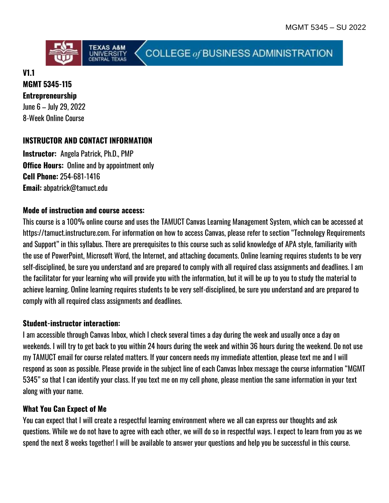

COLLEGE of BUSINESS ADMINISTRATION

#### **V1.1 MGMT 5345-115**

**Entrepreneurship**  June 6 – July 29, 2022 8-Week Online Course

# **INSTRUCTOR AND CONTACT INFORMATION**

**Instructor:** Angela Patrick, Ph.D., PMP **Office Hours:** Online and by appointment only **Cell Phone:** 254-681-1416 **Email:** abpatrick@tamuct.edu

### **Mode of instruction and course access:**

This course is a 100% online course and uses the TAMUCT Canvas Learning Management System, which can be accessed at https://tamuct.instructure.com. For information on how to access Canvas, please refer to section "Technology Requirements and Support" in this syllabus. There are prerequisites to this course such as solid knowledge of APA style, familiarity with the use of PowerPoint, Microsoft Word, the Internet, and attaching documents. Online learning requires students to be very self-disciplined, be sure you understand and are prepared to comply with all required class assignments and deadlines. I am the facilitator for your learning who will provide you with the information, but it will be up to you to study the material to achieve learning. Online learning requires students to be very self-disciplined, be sure you understand and are prepared to comply with all required class assignments and deadlines.

### **Student-instructor interaction:**

I am accessible through Canvas Inbox, which I check several times a day during the week and usually once a day on weekends. I will try to get back to you within 24 hours during the week and within 36 hours during the weekend. Do not use my TAMUCT email for course related matters. If your concern needs my immediate attention, please text me and I will respond as soon as possible. Please provide in the subject line of each Canvas Inbox message the course information "MGMT 5345" so that I can identify your class. If you text me on my cell phone, please mention the same information in your text along with your name.

### **What You Can Expect of Me**

You can expect that I will create a respectful learning environment where we all can express our thoughts and ask questions. While we do not have to agree with each other, we will do so in respectful ways. I expect to learn from you as we spend the next 8 weeks together! I will be available to answer your questions and help you be successful in this course.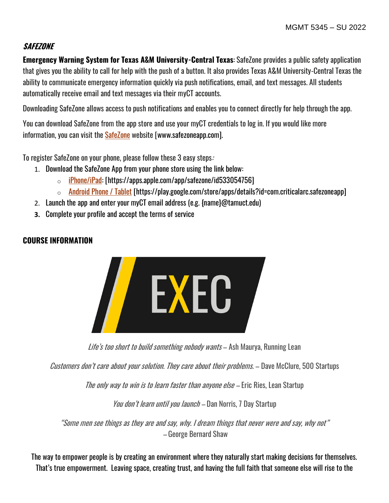### **SAFEZONE**

**Emergency Warning System for Texas A&M University-Central Texas**: SafeZone provides a public safety application that gives you the ability to call for help with the push of a button. It also provides Texas A&M University-Central Texas the ability to communicate emergency information quickly via push notifications, email, and text messages. All students automatically receive email and text messages via their myCT accounts.

Downloading SafeZone allows access to push notifications and enables you to connect directly for help through the app.

You can download SafeZone from the app store and use your myCT credentials to log in. If you would like more information, you can visit the [SafeZone](http://www.safezoneapp.com/) website [www.safezoneapp.com].

To register SafeZone on your phone, please follow these 3 easy steps:

- 1. Download the SafeZone App from your phone store using the link below:
	- $\circ$  [iPhone/iPad:](https://apps.apple.com/app/safezone/id533054756) [https://apps.apple.com/app/safezone/id533054756]
	- o [Android Phone / Tablet](https://play.google.com/store/apps/details?id=com.criticalarc.safezoneapp) [https://play.google.com/store/apps/details?id=com.criticalarc.safezoneapp]
- 2. Launch the app and enter your myCT email address (e.g. {name}@tamuct.edu)
- **3.** Complete your profile and accept the terms of service

### **COURSE INFORMATION**



Life's too short to build something nobody wants - Ash Maurya, Running Lean

Customers don't care about your solution. They care about their problems. – Dave McClure, 500 Startups

The only way to win is to learn faster than anyone else – Eric Ries, Lean Startup

You don't learn until you launch – Dan Norris, 7 Day Startup

"Some men see things as they are and say, why. I dream things that never were and say, why not" – George Bernard Shaw

The way to empower people is by creating an environment where they naturally start making decisions for themselves. That's true empowerment. Leaving space, creating trust, and having the full faith that someone else will rise to the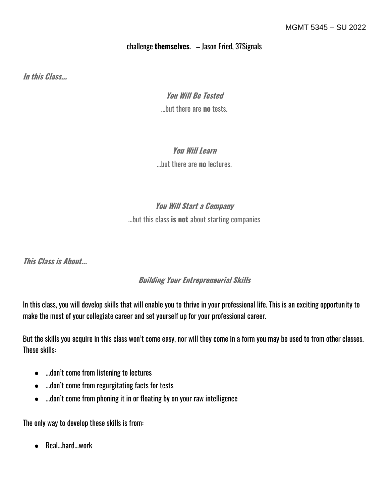### challenge **themselves**. – Jason Fried, 37Signals

**In this Class...**

### **You Will Be Tested**

...but there are **no** tests.

### **You Will Learn**

...but there are **no** lectures.

# **You Will Start a Company**

...but this class **is not** about starting companies

**This Class is About...**

# **Building Your Entrepreneurial Skills**

In this class, you will develop skills that will enable you to thrive in your professional life. This is an exciting opportunity to make the most of your collegiate career and set yourself up for your professional career.

But the skills you acquire in this class won't come easy, nor will they come in a form you may be used to from other classes. These skills:

- ...don't come from listening to lectures
- ...don't come from regurgitating facts for tests
- ...don't come from phoning it in or floating by on your raw intelligence

The only way to develop these skills is from:

● Real...hard...work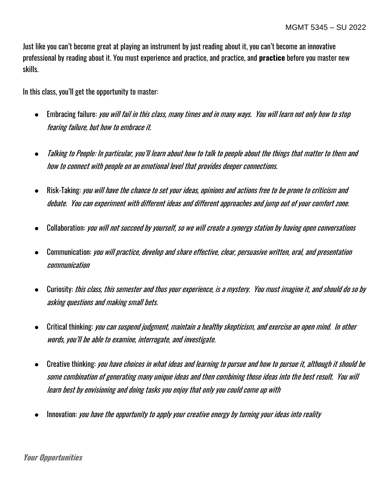Just like you can't become great at playing an instrument by just reading about it, you can't become an innovative professional by reading about it. You must experience and practice, and practice, and **practice** before you master new skills.

In this class, you'll get the opportunity to master:

- Embracing failure: you will fail in this class, many times and in many ways. You will learn not only how to stop fearing failure, but how to embrace it.
- Talking to People: In particular, you'll learn about how to talk to people about the things that matter to them and how to connect with people on an emotional level that provides deeper connections.
- Risk-Taking: *you will have the chance to set your ideas, opinions and actions free to be prone to criticism and* debate. You can experiment with different ideas and different approaches and jump out of your comfort zone.
- Collaboration: you will not succeed by yourself, so we will create a synergy station by having open conversations
- Communication: you will practice, develop and share effective, clear, persuasive written, oral, and presentation communication
- Curiosity: this class, this semester and thus your experience, is a mystery. You must imagine it, and should do so by asking questions and making small bets.
- Critical thinking: you can suspend judgment, maintain a healthy skepticism, and exercise an open mind. In other words, you'll be able to examine, interrogate, and investigate.
- Creative thinking: you have choices in what ideas and learning to pursue and how to pursue it, although it should be some combination of generating many unique ideas and then combining those ideas into the best result. You will learn best by envisioning and doing tasks you enjoy that only you could come up with
- Innovation: you have the opportunity to apply your creative energy by turning your ideas into reality

#### **Your Opportunities**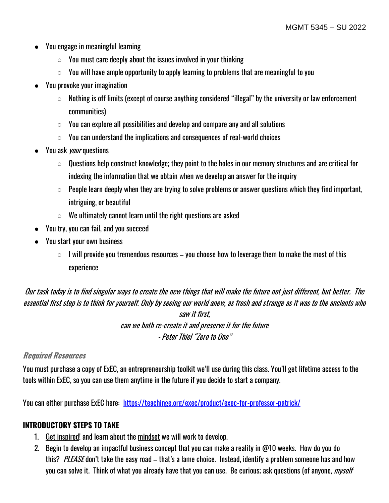- You engage in meaningful learning
	- $\circ$  You must care deeply about the issues involved in your thinking
	- $\circ$  You will have ample opportunity to apply learning to problems that are meaningful to you
- You provoke your imagination
	- Nothing is off limits (except of course anything considered "illegal" by the university or law enforcement communities)
	- You can explore all possibilities and develop and compare any and all solutions
	- $\circ$  You can understand the implications and consequences of real-world choices
- You ask *your* questions
	- $\circ$  Questions help construct knowledge; they point to the holes in our memory structures and are critical for indexing the information that we obtain when we develop an answer for the inquiry
	- $\circ$  People learn deeply when they are trying to solve problems or answer questions which they find important, intriguing, or beautiful
	- $\circ$  We ultimately cannot learn until the right questions are asked
- You try, you can fail, and you succeed
- You start your own business
	- $\circ$  I will provide you tremendous resources you choose how to leverage them to make the most of this experience

Our task today is to find singular ways to create the new things that will make the future not just different, but better. The essential first step is to think for yourself. Only by seeing our world anew, as fresh and strange as it was to the ancients who saw it first, can we both re-create it and preserve it for the future - Peter Thiel "Zero to One"

#### **Required Resources**

You must purchase a copy of ExEC, an entrepreneurship toolkit we'll use during this class. You'll get lifetime access to the tools within ExEC, so you can use them anytime in the future if you decide to start a company.

You can either purchase ExEC here: <https://teachinge.org/exec/product/exec-for-professor-patrick/>

### **INTRODUCTORY STEPS TO TAKE**

- 1. [Get inspired!](http://bit.ly/1nMP8Pa) and learn about the [mindset](http://www.apple.com/) we will work to develop.
- 2. Begin to develop an impactful business concept that you can make a reality in @10 weeks. How do you do this? PLEASE don't take the easy road – that's a lame choice. Instead, identify a problem someone has and how you can solve it. Think of what you already have that you can use. Be curious; ask questions (of anyone, *myself*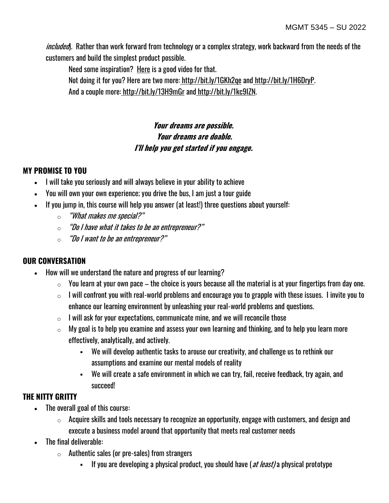included). Rather than work forward from technology or a complex strategy, work backward from the needs of the customers and build the simplest product possible.

Need some inspiration? [Here](http://bit.ly/1SEau3S) is a good video for that. Not doing it for you? Here are two more: <http://bit.ly/1GKh2qe> and [http://bit.ly/1H6DryP.](http://bit.ly/1H6DryP)  And a couple more: <http://bit.ly/13H9mGr> and [http://bit.ly/1kc9IZN.](http://bit.ly/1kc9IZN)

# **Your dreams are possible. Your dreams are doable. I'll help you get started if you engage.**

# **MY PROMISE TO YOU**

- I will take you seriously and will always believe in your ability to achieve
- You will own your own experience; you drive the bus, I am just a tour guide
- If you jump in, this course will help you answer (at least!) three questions about yourself:
	- $\circ$  "What makes me special?"
	- $\circ$  "Do I have what it takes to be an entrepreneur?"
	- $\circ$  "Do I want to be an entrepreneur?"

# **OUR CONVERSATION**

- How will we understand the nature and progress of our learning?
	- $\circ$  You learn at your own pace the choice is yours because all the material is at your fingertips from day one.
	- $\circ$  I will confront you with real-world problems and encourage you to grapple with these issues. I invite you to enhance our learning environment by unleashing your real-world problems and questions.
	- $\circ$  I will ask for your expectations, communicate mine, and we will reconcile those
	- $\circ$  My goal is to help you examine and assess your own learning and thinking, and to help you learn more effectively, analytically, and actively.
		- We will develop authentic tasks to arouse our creativity, and challenge us to rethink our assumptions and examine our mental models of reality
		- We will create a safe environment in which we can try, fail, receive feedback, try again, and succeed!

### **THE NITTY GRITTY**

- The overall goal of this course:
	- $\circ$  Acquire skills and tools necessary to recognize an opportunity, engage with customers, and design and execute a business model around that opportunity that meets real customer needs
- The final deliverable:
	- $\circ$  Authentic sales (or pre-sales) from strangers
		- If you are developing a physical product, you should have ( $at$  least) a physical prototype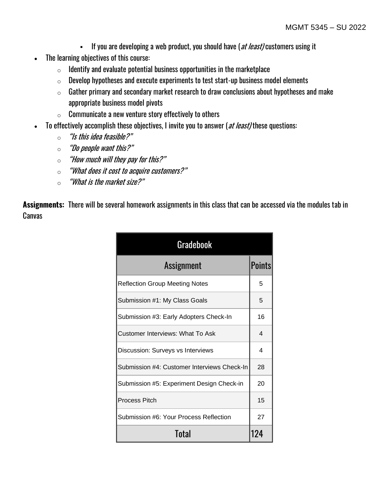- **•** If you are developing a web product, you should have (*at least)* customers using it
- The learning objectives of this course:
	- $\circ$  Identify and evaluate potential business opportunities in the marketplace
	- $\circ$  Develop hypotheses and execute experiments to test start-up business model elements
	- $\circ$  Gather primary and secondary market research to draw conclusions about hypotheses and make appropriate business model pivots
	- $\circ$  Communicate a new venture story effectively to others
- To effectively accomplish these objectives, I invite you to answer (at least) these questions:
	- $\circ$  "Is this idea feasible?"
	- $\circ$  "Do people want this?"
	- $\circ$  "How much will they pay for this?"
	- o "What does it cost to acquire customers?"
	- $\circ$  "What is the market size?"

**Assignments:** There will be several homework assignments in this class that can be accessed via the modules tab in Canvas

| <b>Gradebook</b>                            |        |  |  |
|---------------------------------------------|--------|--|--|
| Assignment                                  | Points |  |  |
| <b>Reflection Group Meeting Notes</b>       | 5      |  |  |
| Submission #1: My Class Goals               | 5      |  |  |
| Submission #3: Early Adopters Check-In      | 16     |  |  |
| Customer Interviews: What To Ask            | 4      |  |  |
| Discussion: Surveys vs Interviews           | 4      |  |  |
| Submission #4: Customer Interviews Check-In | 28     |  |  |
| Submission #5: Experiment Design Check-in   | 20     |  |  |
| <b>Process Pitch</b>                        | 15     |  |  |
| Submission #6: Your Process Reflection      | 27     |  |  |
| Total                                       | 124    |  |  |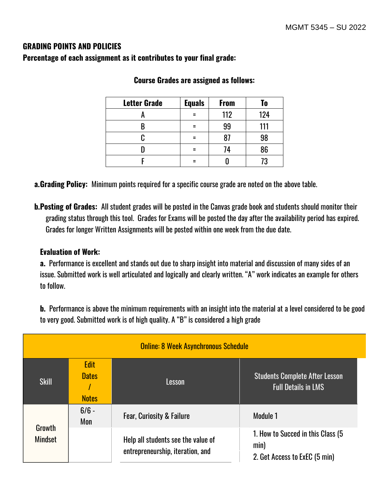### **GRADING POINTS AND POLICIES**

**Percentage of each assignment as it contributes to your final grade:**

| <b>Letter Grade</b> | <b>Equals</b> | <b>From</b> | To  |
|---------------------|---------------|-------------|-----|
|                     |               | 112         | 124 |
|                     |               | 99          | 111 |
|                     |               |             | 98  |
|                     |               | 74          | 86  |
|                     |               |             | 73  |

#### **Course Grades are assigned as follows:**

**a.Grading Policy:** Minimum points required for a specific course grade are noted on the above table.

**b.Posting of Grades:** All student grades will be posted in the Canvas grade book and students should monitor their grading status through this tool. Grades for Exams will be posted the day after the availability period has expired. Grades for longer Written Assignments will be posted within one week from the due date.

#### **Evaluation of Work:**

**a.** Performance is excellent and stands out due to sharp insight into material and discussion of many sides of an issue. Submitted work is well articulated and logically and clearly written. "A" work indicates an example for others to follow.

**b.** Performance is above the minimum requirements with an insight into the material at a level considered to be good to very good. Submitted work is of high quality. A "B" is considered a high grade

| <b>Online: 8 Week Asynchronous Schedule</b> |                                             |                                                                        |                                                                             |
|---------------------------------------------|---------------------------------------------|------------------------------------------------------------------------|-----------------------------------------------------------------------------|
| <b>Skill</b>                                | <b>Edit</b><br><b>Dates</b><br><b>Notes</b> | Lesson                                                                 | <b>Students Complete After Lesson</b><br><b>Full Details in LMS</b>         |
| Growth<br><b>Mindset</b>                    | $6/6 -$<br>Mon                              | <b>Fear, Curiosity &amp; Failure</b>                                   | Module 1                                                                    |
|                                             |                                             | Help all students see the value of<br>entrepreneurship, iteration, and | 1. How to Succed in this Class (5)<br>min)<br>2. Get Access to ExEC (5 min) |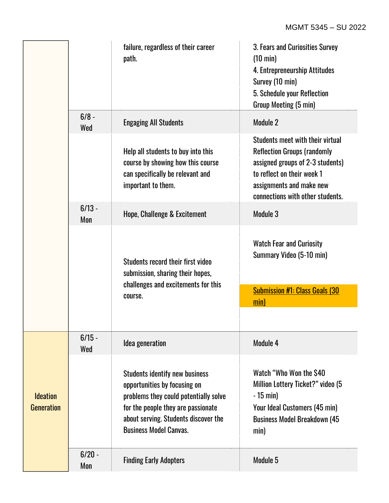|                                      |                 | failure, regardless of their career<br>path.                                                                                                                                                                                  | 3. Fears and Curiosities Survey<br>$(10 \text{ min})$<br>4. Entrepreneurship Attitudes<br>Survey (10 min)<br>5. Schedule your Reflection<br>Group Meeting (5 min)                                        |
|--------------------------------------|-----------------|-------------------------------------------------------------------------------------------------------------------------------------------------------------------------------------------------------------------------------|----------------------------------------------------------------------------------------------------------------------------------------------------------------------------------------------------------|
|                                      | $6/8 -$<br>Wed  | <b>Engaging All Students</b>                                                                                                                                                                                                  | Module 2                                                                                                                                                                                                 |
|                                      |                 | Help all students to buy into this<br>course by showing how this course<br>can specifically be relevant and<br>important to them.                                                                                             | Students meet with their virtual<br><b>Reflection Groups (randomly</b><br>assigned groups of 2-3 students)<br>to reflect on their week 1<br>assignments and make new<br>connections with other students. |
|                                      | $6/13 -$<br>Mon | Hope, Challenge & Excitement                                                                                                                                                                                                  | Module 3                                                                                                                                                                                                 |
|                                      |                 | Students record their first video<br>submission, sharing their hopes,                                                                                                                                                         | <b>Watch Fear and Curiosity</b><br>Summary Video (5-10 min)                                                                                                                                              |
|                                      |                 | challenges and excitements for this<br>course.                                                                                                                                                                                | <b>Submission #1: Class Goals (30)</b><br>min)                                                                                                                                                           |
|                                      | $6/15 -$        | Idea generation                                                                                                                                                                                                               | Module 4                                                                                                                                                                                                 |
| <b>Ideation</b><br><b>Generation</b> | Wed             | <b>Students identify new business</b><br>opportunities by focusing on<br>problems they could potentially solve<br>for the people they are passionate<br>about serving. Students discover the<br><b>Business Model Canvas.</b> | Watch "Who Won the \$40<br>Million Lottery Ticket?" video (5<br>$-15$ min)<br>Your Ideal Customers (45 min)<br><b>Business Model Breakdown (45)</b><br>min)                                              |
|                                      | $6/20 -$<br>Mon | <b>Finding Early Adopters</b>                                                                                                                                                                                                 | Module 5                                                                                                                                                                                                 |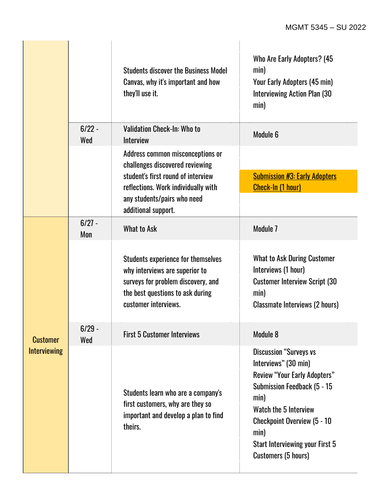|                                        |                 | <b>Students discover the Business Model</b><br>Canvas, why it's important and how<br>they'll use it.                                                                   | Who Are Early Adopters? (45<br>min)<br>Your Early Adopters (45 min)<br><b>Interviewing Action Plan (30</b><br>min)                                                                                                                                                          |
|----------------------------------------|-----------------|------------------------------------------------------------------------------------------------------------------------------------------------------------------------|-----------------------------------------------------------------------------------------------------------------------------------------------------------------------------------------------------------------------------------------------------------------------------|
|                                        | $6/22 -$<br>Wed | Validation Check-In: Who to<br>Interview                                                                                                                               | Module 6                                                                                                                                                                                                                                                                    |
|                                        |                 | Address common misconceptions or<br>challenges discovered reviewing                                                                                                    |                                                                                                                                                                                                                                                                             |
|                                        |                 | student's first round of interview<br>reflections. Work individually with                                                                                              | <b>Submission #3: Early Adopters</b><br><b>Check-In (1 hour)</b>                                                                                                                                                                                                            |
|                                        |                 | any students/pairs who need<br>additional support.                                                                                                                     |                                                                                                                                                                                                                                                                             |
| <b>Customer</b><br><b>Interviewing</b> | $6/27 -$<br>Mon | <b>What to Ask</b>                                                                                                                                                     | Module 7                                                                                                                                                                                                                                                                    |
|                                        |                 | Students experience for themselves<br>why interviews are superior to<br>surveys for problem discovery, and<br>the best questions to ask during<br>customer interviews. | <b>What to Ask During Customer</b><br>Interviews (1 hour)<br><b>Customer Interview Script (30)</b><br>min)<br><b>Classmate Interviews (2 hours)</b>                                                                                                                         |
|                                        | $6/29 -$<br>Wed | <b>First 5 Customer Interviews</b>                                                                                                                                     | Module 8                                                                                                                                                                                                                                                                    |
|                                        |                 | Students learn who are a company's<br>first customers, why are they so<br>important and develop a plan to find<br>theirs.                                              | <b>Discussion "Surveys vs</b><br>Interviews" (30 min)<br><b>Review "Your Early Adopters"</b><br>Submission Feedback (5 - 15<br>min)<br>Watch the 5 Interview<br><b>Checkpoint Overview (5 - 10</b><br>min)<br>Start Interviewing your First 5<br><b>Customers (5 hours)</b> |

à.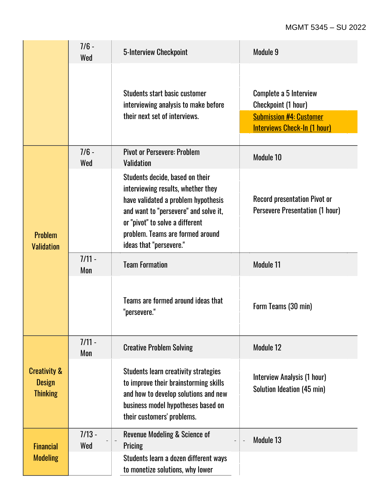#### MGMT 5345 – SU 2022

|                                                             | $7/6 -$<br>Wed  | 5-Interview Checkpoint                                                                                                                                                                                                                                  | Module 9                                                                                                               |
|-------------------------------------------------------------|-----------------|---------------------------------------------------------------------------------------------------------------------------------------------------------------------------------------------------------------------------------------------------------|------------------------------------------------------------------------------------------------------------------------|
|                                                             |                 | Students start basic customer<br>interviewing analysis to make before<br>their next set of interviews.                                                                                                                                                  | Complete a 5 Interview<br>Checkpoint (1 hour)<br><b>Submission #4: Customer</b><br><b>Interviews Check-In (1 hour)</b> |
|                                                             | $7/6 -$<br>Wed  | <b>Pivot or Persevere: Problem</b><br><b>Validation</b>                                                                                                                                                                                                 | Module 10                                                                                                              |
| <b>Problem</b><br><b>Validation</b>                         |                 | Students decide, based on their<br>interviewing results, whether they<br>have validated a problem hypothesis<br>and want to "persevere" and solve it,<br>or "pivot" to solve a different<br>problem. Teams are formed around<br>ideas that "persevere." | <b>Record presentation Pivot or</b><br><b>Persevere Presentation (1 hour)</b>                                          |
|                                                             | $7/11 -$<br>Mon | <b>Team Formation</b>                                                                                                                                                                                                                                   | Module 11                                                                                                              |
|                                                             |                 | Teams are formed around ideas that<br>"persevere."                                                                                                                                                                                                      | Form Teams (30 min)                                                                                                    |
| <b>Creativity &amp;</b><br><b>Design</b><br><b>Thinking</b> | $7/11 -$<br>Mon | <b>Creative Problem Solving</b>                                                                                                                                                                                                                         | Module 12                                                                                                              |
|                                                             |                 | <b>Students learn creativity strategies</b><br>to improve their brainstorming skills<br>and how to develop solutions and new<br>business model hypotheses based on<br>their customers' problems.                                                        | Interview Analysis (1 hour)<br>Solution Ideation (45 min)                                                              |
| <b>Financial</b>                                            | $7/13 -$<br>Wed | <b>Revenue Modeling &amp; Science of</b><br>Pricing                                                                                                                                                                                                     | Module 13                                                                                                              |
| <b>Modeling</b>                                             |                 | Students learn a dozen different ways<br>to monetize solutions, why lower                                                                                                                                                                               |                                                                                                                        |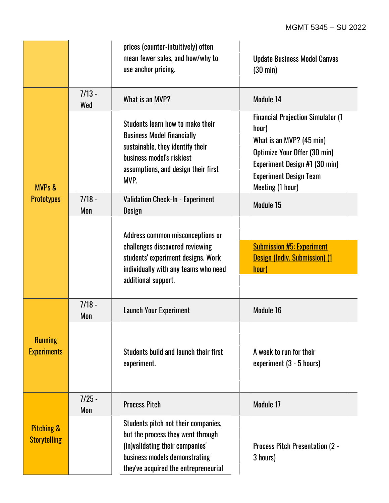|                                              |                 | prices (counter-intuitively) often<br>mean fewer sales, and how/why to<br>use anchor pricing.                                                                                         | <b>Update Business Model Canvas</b><br>$(30 \text{ min})$                                                                                                                                            |
|----------------------------------------------|-----------------|---------------------------------------------------------------------------------------------------------------------------------------------------------------------------------------|------------------------------------------------------------------------------------------------------------------------------------------------------------------------------------------------------|
| <b>MVPs &amp;</b>                            | $7/13 -$<br>Wed | What is an MVP?                                                                                                                                                                       | Module 14                                                                                                                                                                                            |
|                                              |                 | Students learn how to make their<br><b>Business Model financially</b><br>sustainable, they identify their<br>business model's riskiest<br>assumptions, and design their first<br>MVP. | <b>Financial Projection Simulator (1)</b><br>hour)<br>What is an MVP? (45 min)<br>Optimize Your Offer (30 min)<br>Experiment Design #1 (30 min)<br><b>Experiment Design Team</b><br>Meeting (1 hour) |
| <b>Prototypes</b>                            | $7/18 -$<br>Mon | <b>Validation Check-In - Experiment</b><br><b>Design</b>                                                                                                                              | Module 15                                                                                                                                                                                            |
|                                              |                 | Address common misconceptions or<br>challenges discovered reviewing<br>students' experiment designs. Work<br>individually with any teams who need<br>additional support.              | <b>Submission #5: Experiment</b><br>Design (Indiv. Submission) (1<br>hour)                                                                                                                           |
|                                              | $7/18 -$<br>Mon | <b>Launch Your Experiment</b>                                                                                                                                                         | Module 16                                                                                                                                                                                            |
| <b>Running</b><br><b>Experiments</b>         |                 | Students build and launch their first<br>experiment.                                                                                                                                  | A week to run for their<br>experiment (3 - 5 hours)                                                                                                                                                  |
| <b>Pitching &amp;</b><br><b>Storytelling</b> | $7/25 -$<br>Mon | <b>Process Pitch</b>                                                                                                                                                                  | Module 17                                                                                                                                                                                            |
|                                              |                 | Students pitch not their companies,<br>but the process they went through<br>(in)validating their companies'<br>business models demonstrating<br>they've acquired the entrepreneurial  | <b>Process Pitch Presentation (2 -</b><br>3 hours)                                                                                                                                                   |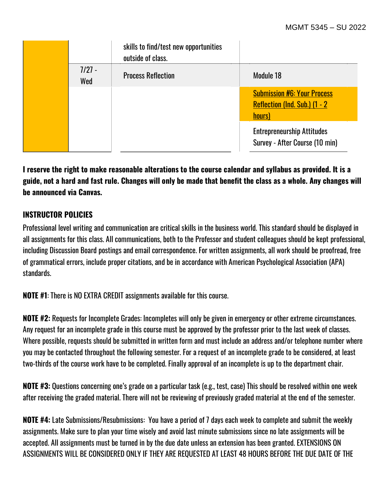|                 | skills to find/test new opportunities<br>outside of class. |                                                                               |
|-----------------|------------------------------------------------------------|-------------------------------------------------------------------------------|
| $7/27 -$<br>Wed | <b>Process Reflection</b>                                  | Module 18                                                                     |
|                 |                                                            | <b>Submission #6: Your Process</b><br>Reflection (Ind. Sub.) (1 - 2<br>hours) |
|                 |                                                            | <b>Entrepreneurship Attitudes</b><br>Survey - After Course (10 min)           |

**I reserve the right to make reasonable alterations to the course calendar and syllabus as provided. It is a guide, not a hard and fast rule. Changes will only be made that benefit the class as a whole. Any changes will be announced via Canvas.**

### **INSTRUCTOR POLICIES**

Professional level writing and communication are critical skills in the business world. This standard should be displayed in all assignments for this class. All communications, both to the Professor and student colleagues should be kept professional, including Discussion Board postings and email correspondence. For written assignments, all work should be proofread, free of grammatical errors, include proper citations, and be in accordance with American Psychological Association (APA) standards.

**NOTE #1**: There is NO EXTRA CREDIT assignments available for this course.

**NOTE #2:** Requests for Incomplete Grades: Incompletes will only be given in emergency or other extreme circumstances. Any request for an incomplete grade in this course must be approved by the professor prior to the last week of classes. Where possible, requests should be submitted in written form and must include an address and/or telephone number where you may be contacted throughout the following semester. For a request of an incomplete grade to be considered, at least two-thirds of the course work have to be completed. Finally approval of an incomplete is up to the department chair.

**NOTE #3:** Questions concerning one's grade on a particular task (e.g., test, case) This should be resolved within one week after receiving the graded material. There will not be reviewing of previously graded material at the end of the semester.

**NOTE #4:** Late Submissions/Resubmissions: You have a period of 7 days each week to complete and submit the weekly assignments. Make sure to plan your time wisely and avoid last minute submissions since no late assignments will be accepted. All assignments must be turned in by the due date unless an extension has been granted. EXTENSIONS ON ASSIGNMENTS WILL BE CONSIDERED ONLY IF THEY ARE REQUESTED AT LEAST 48 HOURS BEFORE THE DUE DATE OF THE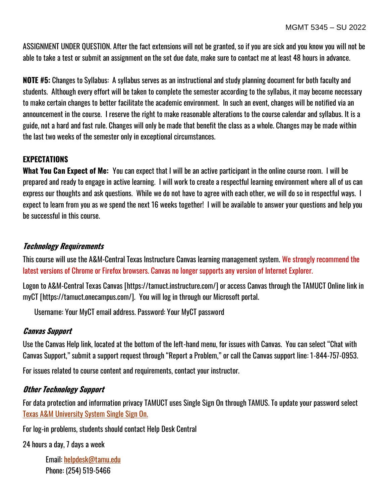ASSIGNMENT UNDER QUESTION. After the fact extensions will not be granted, so if you are sick and you know you will not be able to take a test or submit an assignment on the set due date, make sure to contact me at least 48 hours in advance.

**NOTE #5:** Changes to Syllabus: A syllabus serves as an instructional and study planning document for both faculty and students. Although every effort will be taken to complete the semester according to the syllabus, it may become necessary to make certain changes to better facilitate the academic environment. In such an event, changes will be notified via an announcement in the course. I reserve the right to make reasonable alterations to the course calendar and syllabus. It is a guide, not a hard and fast rule. Changes will only be made that benefit the class as a whole. Changes may be made within the last two weeks of the semester only in exceptional circumstances.

# **EXPECTATIONS**

**What You Can Expect of Me:** You can expect that I will be an active participant in the online course room. I will be prepared and ready to engage in active learning. I will work to create a respectful learning environment where all of us can express our thoughts and ask questions. While we do not have to agree with each other, we will do so in respectful ways. I expect to learn from you as we spend the next 16 weeks together! I will be available to answer your questions and help you be successful in this course.

#### **Technology Requirements**

This course will use the A&M-Central Texas Instructure Canvas learning management system. We strongly recommend the latest versions of Chrome or Firefox browsers. Canvas no longer supports any version of Internet Explorer.

Logon to A&M-Central Texas Canvas [https://tamuct.instructure.com/] or access Canvas through the TAMUCT Online link in myCT [https://tamuct.onecampus.com/]. You will log in through our Microsoft portal.

Username: Your MyCT email address. Password: Your MyCT password

### **Canvas Support**

Use the Canvas Help link, located at the bottom of the left-hand menu, for issues with Canvas. You can select "Chat with Canvas Support," submit a support request through "Report a Problem," or call the Canvas support line: 1-844-757-0953.

For issues related to course content and requirements, contact your instructor.

#### **Other Technology Support**

For data protection and information privacy TAMUCT uses Single Sign On through TAMUS. To update your password select [Texas A&M University System Single Sign On.](https://sso.tamus.edu/Logon.aspx?entityID=https%3A%2F%2Fsso.tamus.edu%2Fshibboleth&return=https%3A%2F%2Fsso.tamus.edu%2FShibboleth.sso%2FDS%3FSAMLDS%3D1%26target%3Dcookie%253A1597543334_da19)

For log-in problems, students should contact Help Desk Central

24 hours a day, 7 days a week

Email: [helpdesk@tamu.edu](mailto:helpdesk@tamu.edu) Phone: (254) 519-5466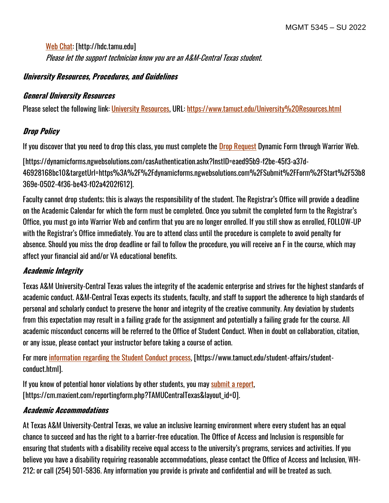[Web Chat:](http://hdc.tamu.edu/) [http://hdc.tamu.edu] Please let the support technician know you are an A&M-Central Texas student.

### **University Resources, Procedures, and Guidelines**

### **General University Resources**

Please select the following link: [University Resources,](https://www.tamuct.edu/University%20Resources.html) URL:<https://www.tamuct.edu/University%20Resources.html>

# **Drop Policy**

If you discover that you need to drop this class, you must complete the [Drop Request](https://dynamicforms.ngwebsolutions.com/casAuthentication.ashx?InstID=eaed95b9-f2be-45f3-a37d-46928168bc10&targetUrl=https%3A%2F%2Fdynamicforms.ngwebsolutions.com%2FSubmit%2FForm%2FStart%2F53b8369e-0502-4f36-be43-f02a4202f612) Dynamic Form through Warrior Web.

[https://dynamicforms.ngwebsolutions.com/casAuthentication.ashx?InstID=eaed95b9-f2be-45f3-a37d-46928168bc10&targetUrl=https%3A%2F%2Fdynamicforms.ngwebsolutions.com%2FSubmit%2FForm%2FStart%2F53b8 369e-0502-4f36-be43-f02a4202f612].

Faculty cannot drop students; this is always the responsibility of the student. The Registrar's Office will provide a deadline on the Academic Calendar for which the form must be completed. Once you submit the completed form to the Registrar's Office, you must go into Warrior Web and confirm that you are no longer enrolled. If you still show as enrolled, FOLLOW-UP with the Registrar's Office immediately. You are to attend class until the procedure is complete to avoid penalty for absence. Should you miss the drop deadline or fail to follow the procedure, you will receive an F in the course, which may affect your financial aid and/or VA educational benefits.

# **Academic Integrity**

Texas A&M University-Central Texas values the integrity of the academic enterprise and strives for the highest standards of academic conduct. A&M-Central Texas expects its students, faculty, and staff to support the adherence to high standards of personal and scholarly conduct to preserve the honor and integrity of the creative community. Any deviation by students from this expectation may result in a failing grade for the assignment and potentially a failing grade for the course. All academic misconduct concerns will be referred to the Office of Student Conduct. When in doubt on collaboration, citation, or any issue, please contact your instructor before taking a course of action.

For more [information](https://nam04.safelinks.protection.outlook.com/?url=https%3A%2F%2Fwww.tamuct.edu%2Fstudent-affairs%2Fstudent-conduct.html&data=04%7C01%7Clisa.bunkowski%40tamuct.edu%7Ccfb6e486f24745f53e1a08d910055cb2%7C9eed4e3000f744849ff193ad8005acec%7C0%7C0%7C637558437485252160%7CUnknown%7CTWFpbGZsb3d8eyJWIjoiMC4wLjAwMDAiLCJQIjoiV2luMzIiLCJBTiI6Ik1haWwiLCJXVCI6Mn0%3D%7C1000&sdata=yjftDEVHvLX%2FhM%2FcFU0B99krV1RgEWR%2BJ%2BhvtoR6TYk%3D&reserved=0) regarding the Student Conduct process, [https://www.tamuct.edu/student-affairs/studentconduct.html].

If you know of potential honor violations by other students, you may [submit](https://nam04.safelinks.protection.outlook.com/?url=https%3A%2F%2Fcm.maxient.com%2Freportingform.php%3FTAMUCentralTexas%26layout_id%3D0&data=04%7C01%7Clisa.bunkowski%40tamuct.edu%7Ccfb6e486f24745f53e1a08d910055cb2%7C9eed4e3000f744849ff193ad8005acec%7C0%7C0%7C637558437485262157%7CUnknown%7CTWFpbGZsb3d8eyJWIjoiMC4wLjAwMDAiLCJQIjoiV2luMzIiLCJBTiI6Ik1haWwiLCJXVCI6Mn0%3D%7C1000&sdata=CXGkOa6uPDPX1IMZ87z3aZDq2n91xfHKu4MMS43Ejjk%3D&reserved=0) a report, [https://cm.maxient.com/reportingform.php?TAMUCentralTexas&layout\_id=0].

# **Academic Accommodations**

At Texas A&M University-Central Texas, we value an inclusive learning environment where every student has an equal chance to succeed and has the right to a barrier-free education. The Office of Access and Inclusion is responsible for ensuring that students with a disability receive equal access to the university's programs, services and activities. If you believe you have a disability requiring reasonable accommodations, please contact the Office of Access and Inclusion, WH-212; or call (254) 501-5836. Any information you provide is private and confidential and will be treated as such.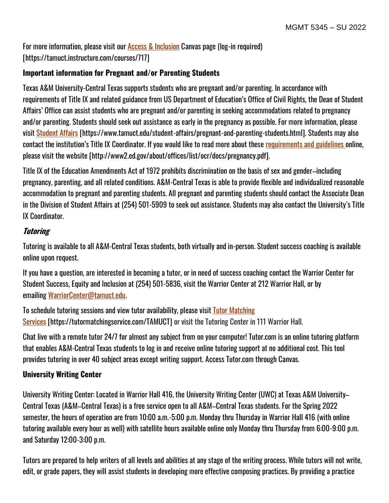For more information, please visit our [Access & Inclusion](https://tamuct.instructure.com/courses/717) Canvas page (log-in required) [https://tamuct.instructure.com/courses/717]

# **Important information for Pregnant and/or Parenting Students**

Texas A&M University-Central Texas supports students who are pregnant and/or parenting. In accordance with requirements of Title IX and related guidance from US Department of Education's Office of Civil Rights, the Dean of Student Affairs' Office can assist students who are pregnant and/or parenting in seeking accommodations related to pregnancy and/or parenting. Students should seek out assistance as early in the pregnancy as possible. For more information, please visit [Student Affairs](https://www.tamuct.edu/student-affairs/pregnant-and-parenting-students.html) [https://www.tamuct.edu/student-affairs/pregnant-and-parenting-students.html]. Students may also contact the institution's Title IX Coordinator. If you would like to read more about these [requirements and guidelines](http://www2.ed.gov/about/offices/list/ocr/docs/pregnancy.pdf) online, please visit the website [http://www2.ed.gov/about/offices/list/ocr/docs/pregnancy.pdf].

Title IX of the Education Amendments Act of 1972 prohibits discrimination on the basis of sex and gender–including pregnancy, parenting, and all related conditions. A&M-Central Texas is able to provide flexible and individualized reasonable accommodation to pregnant and parenting students. All pregnant and parenting students should contact the Associate Dean in the Division of Student Affairs at (254) 501-5909 to seek out assistance. Students may also contact the University's Title IX Coordinator.

# **Tutoring**

Tutoring is available to all A&M-Central Texas students, both virtually and in-person. Student success coaching is available online upon request.

If you have a question, are interested in becoming a tutor, or in need of success coaching contact the Warrior Center for Student Success, Equity and Inclusion at (254) 501-5836, visit the Warrior Center at 212 Warrior Hall, or by emailing [WarriorCenter@tamuct.edu.](mailto:WarriorCenter@tamuct.edu)

To schedule tutoring sessions and view tutor availability, please visit Tutor [Matching](https://tutormatchingservice.com/TAMUCT) [Services](https://tutormatchingservice.com/TAMUCT) [https://tutormatchingservice.com/TAMUCT] or visit the Tutoring Center in 111 Warrior Hall.

Chat live with a remote tutor 24/7 for almost any subject from on your computer! Tutor.com is an online tutoring platform that enables A&M-Central Texas students to log in and receive online tutoring support at no additional cost. This tool provides tutoring in over 40 subject areas except writing support. Access Tutor.com through Canvas.

# **University Writing Center**

University Writing Center: Located in Warrior Hall 416, the University Writing Center (UWC) at Texas A&M University– Central Texas (A&M–Central Texas) is a free service open to all A&M–Central Texas students. For the Spring 2022 semester, the hours of operation are from 10:00 a.m.-5:00 p.m. Monday thru Thursday in Warrior Hall 416 (with online tutoring available every hour as well) with satellite hours available online only Monday thru Thursday from 6:00-9:00 p.m. and Saturday 12:00-3:00 p.m.

Tutors are prepared to help writers of all levels and abilities at any stage of the writing process. While tutors will not write, edit, or grade papers, they will assist students in developing more effective composing practices. By providing a practice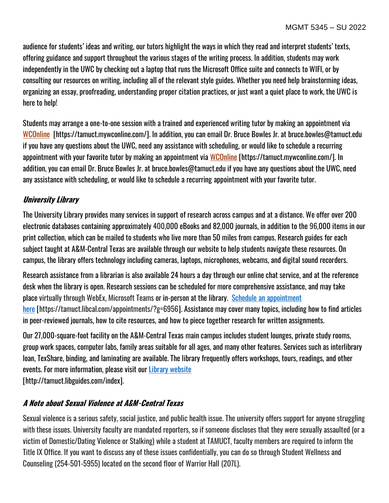audience for students' ideas and writing, our tutors highlight the ways in which they read and interpret students' texts, offering guidance and support throughout the various stages of the writing process. In addition, students may work independently in the UWC by checking out a laptop that runs the Microsoft Office suite and connects to WIFI, or by consulting our resources on writing, including all of the relevant style guides. Whether you need help brainstorming ideas, organizing an essay, proofreading, understanding proper citation practices, or just want a quiet place to work, the UWC is here to help!

Students may arrange a one-to-one session with a trained and experienced writing tutor by making an appointment via [WCOnline](https://tamuct.mywconline.com/) [https://tamuct.mywconline.com/]. In addition, you can email Dr. Bruce Bowles Jr. at bruce.bowles@tamuct.edu if you have any questions about the UWC, need any assistance with scheduling, or would like to schedule a recurring appointment with your favorite tutor by making an appointment via [WCOnline](https://tamuct.mywconline.com/) [https://tamuct.mywconline.com/]. In addition, you can email Dr. Bruce Bowles Jr. at bruce.bowles@tamuct.edu if you have any questions about the UWC, need any assistance with scheduling, or would like to schedule a recurring appointment with your favorite tutor.

# **University Library**

The University Library provides many services in support of research across campus and at a distance. We offer over 200 electronic databases containing approximately 400,000 eBooks and 82,000 journals, in addition to the 96,000 items in our print collection, which can be mailed to students who live more than 50 miles from campus. Research guides for each subject taught at A&M-Central Texas are available through our website to help students navigate these resources. On campus, the library offers technology including cameras, laptops, microphones, webcams, and digital sound recorders.

Research assistance from a librarian is also available 24 hours a day through our online chat service, and at the reference desk when the library is open. Research sessions can be scheduled for more comprehensive assistance, and may take place virtually through WebEx, Microsoft Teams or in-person at the library. Schedule an [appointment](https://nam04.safelinks.protection.outlook.com/?url=https%3A%2F%2Ftamuct.libcal.com%2Fappointments%2F%3Fg%3D6956&data=04%7C01%7Clisa.bunkowski%40tamuct.edu%7Cde2c07d9f5804f09518008d9ab7ba6ff%7C9eed4e3000f744849ff193ad8005acec%7C0%7C0%7C637729369835011558%7CUnknown%7CTWFpbGZsb3d8eyJWIjoiMC4wLjAwMDAiLCJQIjoiV2luMzIiLCJBTiI6Ik1haWwiLCJXVCI6Mn0%3D%7C3000&sdata=KhtjgRSAw9aq%2FoBsB6wyu8b7PSuGN5EGPypzr3Ty2No%3D&reserved=0) [here](https://nam04.safelinks.protection.outlook.com/?url=https%3A%2F%2Ftamuct.libcal.com%2Fappointments%2F%3Fg%3D6956&data=04%7C01%7Clisa.bunkowski%40tamuct.edu%7Cde2c07d9f5804f09518008d9ab7ba6ff%7C9eed4e3000f744849ff193ad8005acec%7C0%7C0%7C637729369835011558%7CUnknown%7CTWFpbGZsb3d8eyJWIjoiMC4wLjAwMDAiLCJQIjoiV2luMzIiLCJBTiI6Ik1haWwiLCJXVCI6Mn0%3D%7C3000&sdata=KhtjgRSAw9aq%2FoBsB6wyu8b7PSuGN5EGPypzr3Ty2No%3D&reserved=0) [https://tamuct.libcal.com/appointments/?g=6956]. Assistance may cover many topics, including how to find articles in peer-reviewed journals, how to cite resources, and how to piece together research for written assignments.

Our 27,000-square-foot facility on the A&M-Central Texas main campus includes student lounges, private study rooms, group work spaces, computer labs, family areas suitable for all ages, and many other features. Services such as interlibrary loan, TexShare, binding, and laminating are available. The library frequently offers workshops, tours, readings, and other events. For more information, please visit our Library [website](https://nam04.safelinks.protection.outlook.com/?url=https%3A%2F%2Ftamuct.libguides.com%2Findex&data=04%7C01%7Clisa.bunkowski%40tamuct.edu%7C7d8489e8839a4915335f08d916f067f2%7C9eed4e3000f744849ff193ad8005acec%7C0%7C0%7C637566044056484222%7CUnknown%7CTWFpbGZsb3d8eyJWIjoiMC4wLjAwMDAiLCJQIjoiV2luMzIiLCJBTiI6Ik1haWwiLCJXVCI6Mn0%3D%7C1000&sdata=2R755V6rcIyedGrd4Os5rkgn1PvhHKU3kUV1vBKiHFo%3D&reserved=0) [http://tamuct.libguides.com/index].

# **A Note about Sexual Violence at A&M-Central Texas**

Sexual violence is a serious safety, social justice, and public health issue. The university offers support for anyone struggling with these issues. University faculty are mandated reporters, so if someone discloses that they were sexually assaulted (or a victim of Domestic/Dating Violence or Stalking) while a student at TAMUCT, faculty members are required to inform the Title IX Office. If you want to discuss any of these issues confidentially, you can do so through Student Wellness and Counseling (254-501-5955) located on the second floor of Warrior Hall (207L).